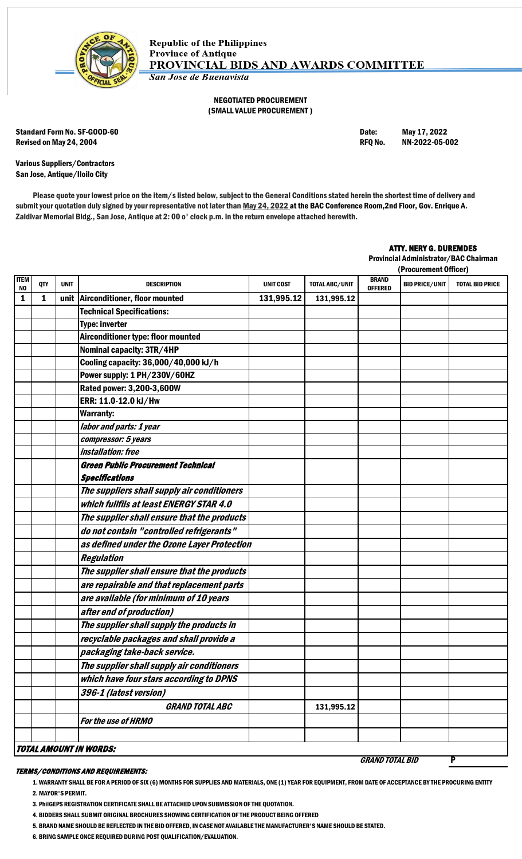

## NEGOTIATED PROCUREMENT (SMALL VALUE PROCUREMENT )

Standard Form No. SF-GOOD-60 **Date:** May 17, 2022 Revised on May 24, 2004 **Review 2006** Revised on May 24, 2004 **RFQ No.** NN-2022-05-002

Various Suppliers/Contractors San Jose, Antique/Iloilo City

Please quote your lowest price on the item/s listed below, subject to the General Conditions stated herein the shortest time of delivery and submit your quotation duly signed by your representative not later than May 24, 2022 at the BAC Conference Room, 2nd Floor, Gov. Enrique A. Zaldivar Memorial Bldg., San Jose, Antique at 2: 00 o' clock p.m. in the return envelope attached herewith.

## ATTY. NERY G. DUREMDES

Provincial Administrator/BAC Chairman

|                   |                               |             |                                             |                  |                       | (Procurement Officer)          |                       |                        |  |
|-------------------|-------------------------------|-------------|---------------------------------------------|------------------|-----------------------|--------------------------------|-----------------------|------------------------|--|
| <b>ITEM</b><br>NO | QTY                           | <b>UNIT</b> | <b>DESCRIPTION</b>                          | <b>UNIT COST</b> | <b>TOTAL ABC/UNIT</b> | <b>BRAND</b><br><b>OFFERED</b> | <b>BID PRICE/UNIT</b> | <b>TOTAL BID PRICE</b> |  |
| 1                 | 1                             |             | unit Airconditioner, floor mounted          | 131,995.12       | 131,995.12            |                                |                       |                        |  |
|                   |                               |             | <b>Technical Specifications:</b>            |                  |                       |                                |                       |                        |  |
|                   |                               |             | <b>Type: inverter</b>                       |                  |                       |                                |                       |                        |  |
|                   |                               |             | Airconditioner type: floor mounted          |                  |                       |                                |                       |                        |  |
|                   |                               |             | Nominal capacity: 3TR/4HP                   |                  |                       |                                |                       |                        |  |
|                   |                               |             | Cooling capacity: 36,000/40,000 kJ/h        |                  |                       |                                |                       |                        |  |
|                   |                               |             | Power supply: 1 PH/230V/60HZ                |                  |                       |                                |                       |                        |  |
|                   |                               |             | Rated power: 3,200-3,600W                   |                  |                       |                                |                       |                        |  |
|                   |                               |             | ERR: 11.0-12.0 kJ/Hw                        |                  |                       |                                |                       |                        |  |
|                   |                               |             | <b>Warranty:</b>                            |                  |                       |                                |                       |                        |  |
|                   |                               |             | labor and parts: 1 year                     |                  |                       |                                |                       |                        |  |
|                   |                               |             | compressor: 5 years                         |                  |                       |                                |                       |                        |  |
|                   |                               |             | <i>installation: free</i>                   |                  |                       |                                |                       |                        |  |
|                   |                               |             | <b>Green Public Procurement Technical</b>   |                  |                       |                                |                       |                        |  |
|                   |                               |             | <b>Specifications</b>                       |                  |                       |                                |                       |                        |  |
|                   |                               |             | The suppliers shall supply air conditioners |                  |                       |                                |                       |                        |  |
|                   |                               |             | which fullfils at least ENERGY STAR 4.0     |                  |                       |                                |                       |                        |  |
|                   |                               |             | The supplier shall ensure that the products |                  |                       |                                |                       |                        |  |
|                   |                               |             | do not contain "controlled refrigerants"    |                  |                       |                                |                       |                        |  |
|                   |                               |             | as defined under the Ozone Layer Protection |                  |                       |                                |                       |                        |  |
|                   |                               |             | <b>Regulation</b>                           |                  |                       |                                |                       |                        |  |
|                   |                               |             | The supplier shall ensure that the products |                  |                       |                                |                       |                        |  |
|                   |                               |             | are repairable and that replacement parts   |                  |                       |                                |                       |                        |  |
|                   |                               |             | are available (for minimum of 10 years      |                  |                       |                                |                       |                        |  |
|                   |                               |             | after end of production)                    |                  |                       |                                |                       |                        |  |
|                   |                               |             | The supplier shall supply the products in   |                  |                       |                                |                       |                        |  |
|                   |                               |             | recyclable packages and shall provide a     |                  |                       |                                |                       |                        |  |
|                   |                               |             | packaging take-back service.                |                  |                       |                                |                       |                        |  |
|                   |                               |             | The supplier shall supply air conditioners  |                  |                       |                                |                       |                        |  |
|                   |                               |             | which have four stars according to DPNS     |                  |                       |                                |                       |                        |  |
|                   |                               |             | 396-1 (latest version)                      |                  |                       |                                |                       |                        |  |
|                   |                               |             | <b>GRAND TOTAL ABC</b>                      |                  | 131,995.12            |                                |                       |                        |  |
|                   |                               |             | For the use of HRMO                         |                  |                       |                                |                       |                        |  |
|                   |                               |             |                                             |                  |                       |                                |                       |                        |  |
|                   | <b>TOTAL AMOUNT IN WORDS:</b> |             |                                             |                  |                       |                                |                       |                        |  |
|                   |                               |             |                                             |                  |                       | <b>GRAND TOTAL BID</b>         |                       |                        |  |

## TERMS/CONDITIONS AND REQUIREMENTS:

1. WARRANTY SHALL BE FOR A PERIOD OF SIX (6) MONTHS FOR SUPPLIES AND MATERIALS, ONE (1) YEAR FOR EQUIPMENT, FROM DATE OF ACCEPTANCE BY THE PROCURING ENTITY 2. MAYOR'S PERMIT.

3. PhilGEPS REGISTRATION CERTIFICATE SHALL BE ATTACHED UPON SUBMISSION OF THE QUOTATION.

4. BIDDERS SHALL SUBMIT ORIGINAL BROCHURES SHOWING CERTIFICATION OF THE PRODUCT BEING OFFERED

5. BRAND NAME SHOULD BE REFLECTED IN THE BID OFFERED, IN CASE NOT AVAILABLE THE MANUFACTURER'S NAME SHOULD BE STATED.

6. BRING SAMPLE ONCE REQUIRED DURING POST QUALIFICATION/EVALUATION.